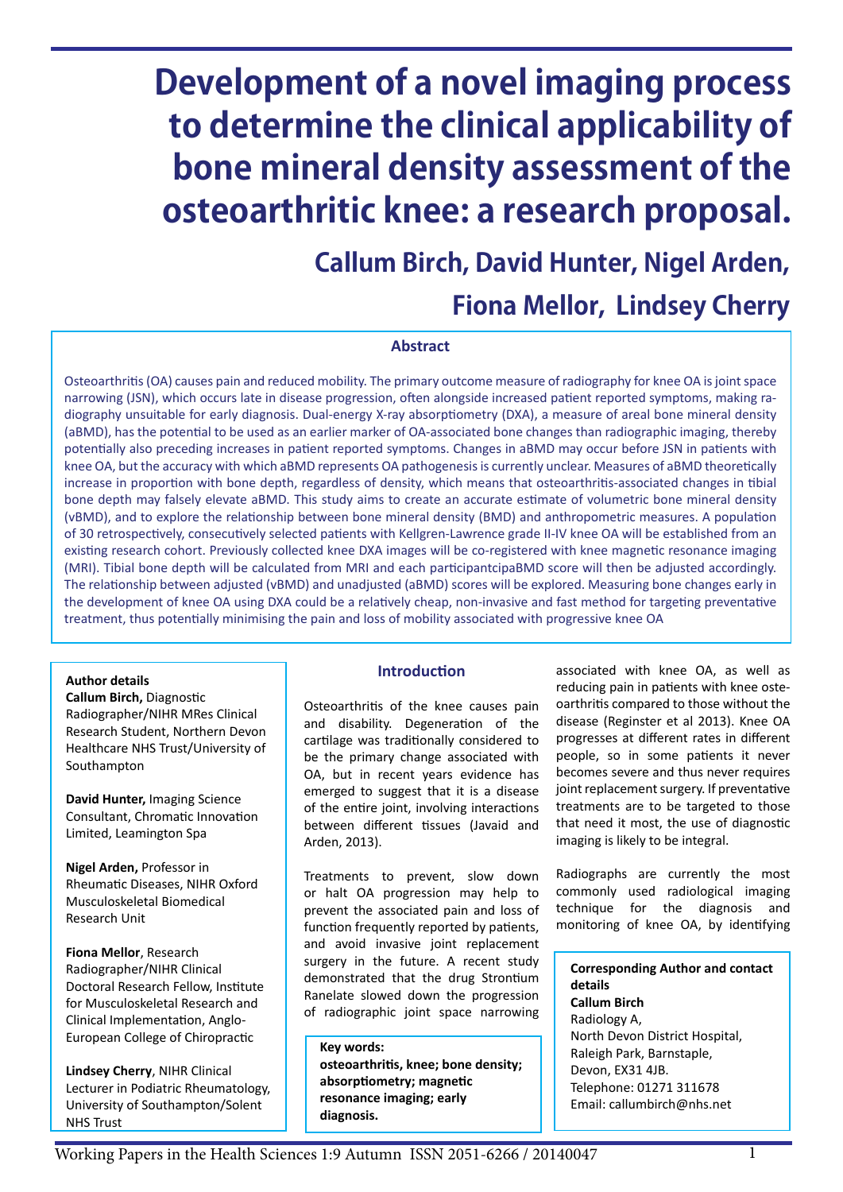# **Development of a novel imaging process to determine the clinical applicability of bone mineral density assessment of the osteoarthritic knee: a research proposal.**

# **Callum Birch, David Hunter, Nigel Arden, Fiona Mellor, Lindsey Cherry**

#### **Abstract**

Osteoarthritis (OA) causes pain and reduced mobility. The primary outcome measure of radiography for knee OA is joint space narrowing (JSN), which occurs late in disease progression, often alongside increased patient reported symptoms, making radiography unsuitable for early diagnosis. Dual-energy X-ray absorptiometry (DXA), a measure of areal bone mineral density (aBMD), has the potential to be used as an earlier marker of OA-associated bone changes than radiographic imaging, thereby potentially also preceding increases in patient reported symptoms. Changes in aBMD may occur before JSN in patients with knee OA, but the accuracy with which aBMD represents OA pathogenesis is currently unclear. Measures of aBMD theoretically increase in proportion with bone depth, regardless of density, which means that osteoarthritis-associated changes in tibial bone depth may falsely elevate aBMD. This study aims to create an accurate estimate of volumetric bone mineral density (vBMD), and to explore the relationship between bone mineral density (BMD) and anthropometric measures. A population of 30 retrospectively, consecutively selected patients with Kellgren-Lawrence grade II-IV knee OA will be established from an existing research cohort. Previously collected knee DXA images will be co-registered with knee magnetic resonance imaging (MRI). Tibial bone depth will be calculated from MRI and each participantcipaBMD score will then be adjusted accordingly. The relationship between adjusted (vBMD) and unadjusted (aBMD) scores will be explored. Measuring bone changes early in the development of knee OA using DXA could be a relatively cheap, non-invasive and fast method for targeting preventative treatment, thus potentially minimising the pain and loss of mobility associated with progressive knee OA

#### **Author details**

**Callum Birch,** Diagnostic Radiographer/NIHR MRes Clinical Research Student, Northern Devon Healthcare NHS Trust/University of Southampton

**David Hunter,** Imaging Science Consultant, Chromatic Innovation Limited, Leamington Spa

**Nigel Arden,** Professor in Rheumatic Diseases, NIHR Oxford Musculoskeletal Biomedical Research Unit

**Fiona Mellor**, Research Radiographer/NIHR Clinical Doctoral Research Fellow, Institute for Musculoskeletal Research and Clinical Implementation, Anglo-European College of Chiropractic

**Lindsey Cherry**, NIHR Clinical Lecturer in Podiatric Rheumatology, University of Southampton/Solent NHS Trust

#### **Introduction**

Osteoarthritis of the knee causes pain and disability. Degeneration of the cartilage was traditionally considered to be the primary change associated with OA, but in recent years evidence has emerged to suggest that it is a disease of the entire joint, involving interactions between different tissues (Javaid and Arden, 2013).

Treatments to prevent, slow down or halt OA progression may help to prevent the associated pain and loss of function frequently reported by patients, and avoid invasive joint replacement surgery in the future. A recent study demonstrated that the drug Strontium Ranelate slowed down the progression of radiographic joint space narrowing

**Key words: osteoarthritis, knee; bone density; absorptiometry; magnetic resonance imaging; early diagnosis.**

associated with knee OA, as well as reducing pain in patients with knee osteoarthritis compared to those without the disease (Reginster et al 2013). Knee OA progresses at different rates in different people, so in some patients it never becomes severe and thus never requires joint replacement surgery. If preventative treatments are to be targeted to those that need it most, the use of diagnostic imaging is likely to be integral.

Radiographs are currently the most commonly used radiological imaging technique for the diagnosis and monitoring of knee OA, by identifying

**Corresponding Author and contact details Callum Birch** Radiology A, North Devon District Hospital, Raleigh Park, Barnstaple, Devon, EX31 4JB. Telephone: 01271 311678 Email: callumbirch@nhs.net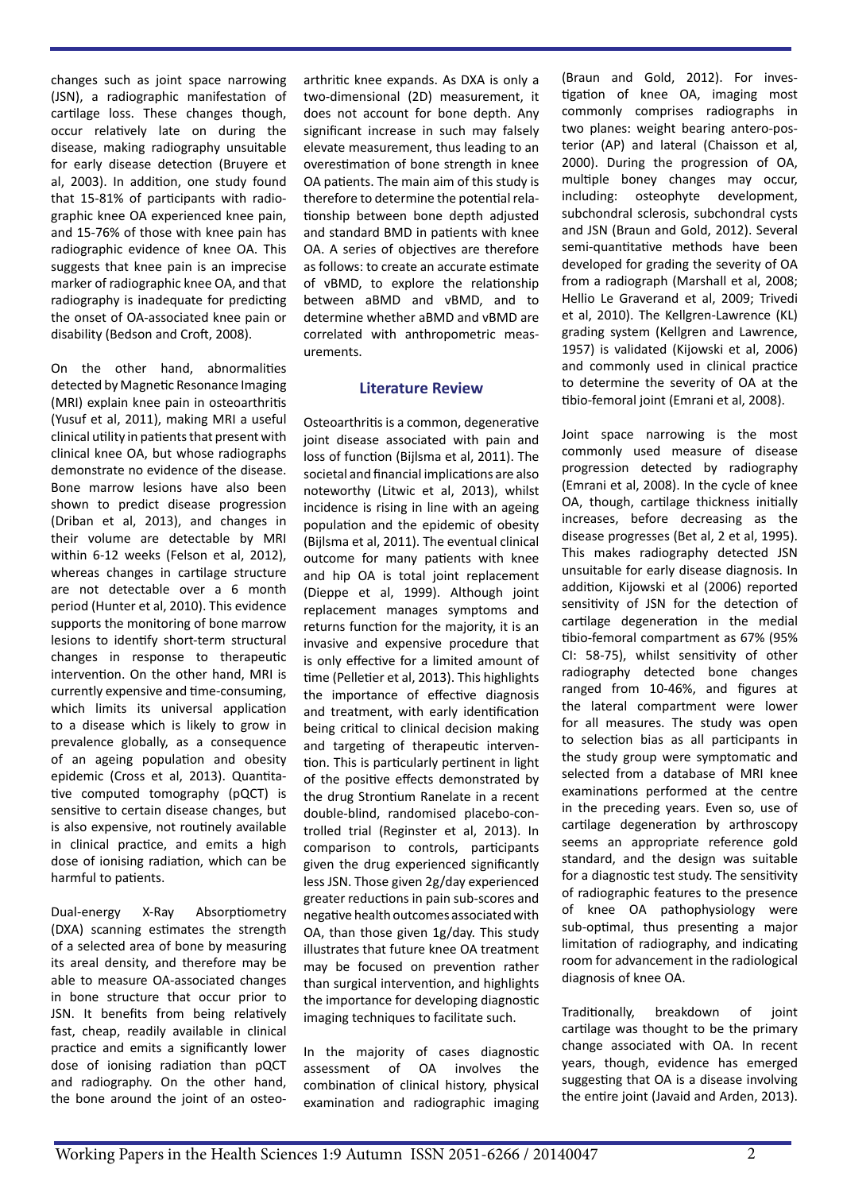changes such as joint space narrowing (JSN), a radiographic manifestation of cartilage loss. These changes though, occur relatively late on during the disease, making radiography unsuitable for early disease detection (Bruyere et al, 2003). In addition, one study found that 15-81% of participants with radiographic knee OA experienced knee pain, and 15-76% of those with knee pain has radiographic evidence of knee OA. This suggests that knee pain is an imprecise marker of radiographic knee OA, and that radiography is inadequate for predicting the onset of OA-associated knee pain or disability (Bedson and Croft, 2008).

On the other hand, abnormalities detected by Magnetic Resonance Imaging (MRI) explain knee pain in osteoarthritis (Yusuf et al, 2011), making MRI a useful clinical utility in patients that present with clinical knee OA, but whose radiographs demonstrate no evidence of the disease. Bone marrow lesions have also been shown to predict disease progression (Driban et al, 2013), and changes in their volume are detectable by MRI within 6-12 weeks (Felson et al, 2012), whereas changes in cartilage structure are not detectable over a 6 month period (Hunter et al, 2010). This evidence supports the monitoring of bone marrow lesions to identify short-term structural changes in response to therapeutic intervention. On the other hand, MRI is currently expensive and time-consuming, which limits its universal application to a disease which is likely to grow in prevalence globally, as a consequence of an ageing population and obesity epidemic (Cross et al, 2013). Quantitative computed tomography (pQCT) is sensitive to certain disease changes, but is also expensive, not routinely available in clinical practice, and emits a high dose of ionising radiation, which can be harmful to patients.

Dual-energy X-Ray Absorptiometry (DXA) scanning estimates the strength of a selected area of bone by measuring its areal density, and therefore may be able to measure OA-associated changes in bone structure that occur prior to JSN. It benefits from being relatively fast, cheap, readily available in clinical practice and emits a significantly lower dose of ionising radiation than pQCT and radiography. On the other hand, the bone around the joint of an osteoarthritic knee expands. As DXA is only a two-dimensional (2D) measurement, it does not account for bone depth. Any significant increase in such may falsely elevate measurement, thus leading to an overestimation of bone strength in knee OA patients. The main aim of this study is therefore to determine the potential relationship between bone depth adjusted and standard BMD in patients with knee OA. A series of objectives are therefore as follows: to create an accurate estimate of vBMD, to explore the relationship between aBMD and vBMD, and to determine whether aBMD and vBMD are correlated with anthropometric measurements.

#### **Literature Review**

Osteoarthritis is a common, degenerative joint disease associated with pain and loss of function (Bijlsma et al, 2011). The societal and financial implications are also noteworthy (Litwic et al, 2013), whilst incidence is rising in line with an ageing population and the epidemic of obesity (Bijlsma et al, 2011). The eventual clinical outcome for many patients with knee and hip OA is total joint replacement (Dieppe et al, 1999). Although joint replacement manages symptoms and returns function for the majority, it is an invasive and expensive procedure that is only effective for a limited amount of time (Pelletier et al, 2013). This highlights the importance of effective diagnosis and treatment, with early identification being critical to clinical decision making and targeting of therapeutic intervention. This is particularly pertinent in light of the positive effects demonstrated by the drug Strontium Ranelate in a recent double-blind, randomised placebo-controlled trial (Reginster et al, 2013). In comparison to controls, participants given the drug experienced significantly less JSN. Those given 2g/day experienced greater reductions in pain sub-scores and negative health outcomes associated with OA, than those given 1g/day. This study illustrates that future knee OA treatment may be focused on prevention rather than surgical intervention, and highlights the importance for developing diagnostic imaging techniques to facilitate such.

In the majority of cases diagnostic assessment of OA involves the combination of clinical history, physical examination and radiographic imaging (Braun and Gold, 2012). For investigation of knee OA, imaging most commonly comprises radiographs in two planes: weight bearing antero-posterior (AP) and lateral (Chaisson et al, 2000). During the progression of OA, multiple boney changes may occur, including: osteophyte development, subchondral sclerosis, subchondral cysts and JSN (Braun and Gold, 2012). Several semi-quantitative methods have been developed for grading the severity of OA from a radiograph (Marshall et al, 2008; Hellio Le Graverand et al, 2009; Trivedi et al, 2010). The Kellgren-Lawrence (KL) grading system (Kellgren and Lawrence, 1957) is validated (Kijowski et al, 2006) and commonly used in clinical practice to determine the severity of OA at the tibio-femoral joint (Emrani et al, 2008).

Joint space narrowing is the most commonly used measure of disease progression detected by radiography (Emrani et al, 2008). In the cycle of knee OA, though, cartilage thickness initially increases, before decreasing as the disease progresses (Bet al, 2 et al, 1995). This makes radiography detected JSN unsuitable for early disease diagnosis. In addition, Kijowski et al (2006) reported sensitivity of JSN for the detection of cartilage degeneration in the medial tibio-femoral compartment as 67% (95% CI: 58-75), whilst sensitivity of other radiography detected bone changes ranged from 10-46%, and figures at the lateral compartment were lower for all measures. The study was open to selection bias as all participants in the study group were symptomatic and selected from a database of MRI knee examinations performed at the centre in the preceding years. Even so, use of cartilage degeneration by arthroscopy seems an appropriate reference gold standard, and the design was suitable for a diagnostic test study. The sensitivity of radiographic features to the presence of knee OA pathophysiology were sub-optimal, thus presenting a major limitation of radiography, and indicating room for advancement in the radiological diagnosis of knee OA.

Traditionally, breakdown of joint cartilage was thought to be the primary change associated with OA. In recent years, though, evidence has emerged suggesting that OA is a disease involving the entire joint (Javaid and Arden, 2013).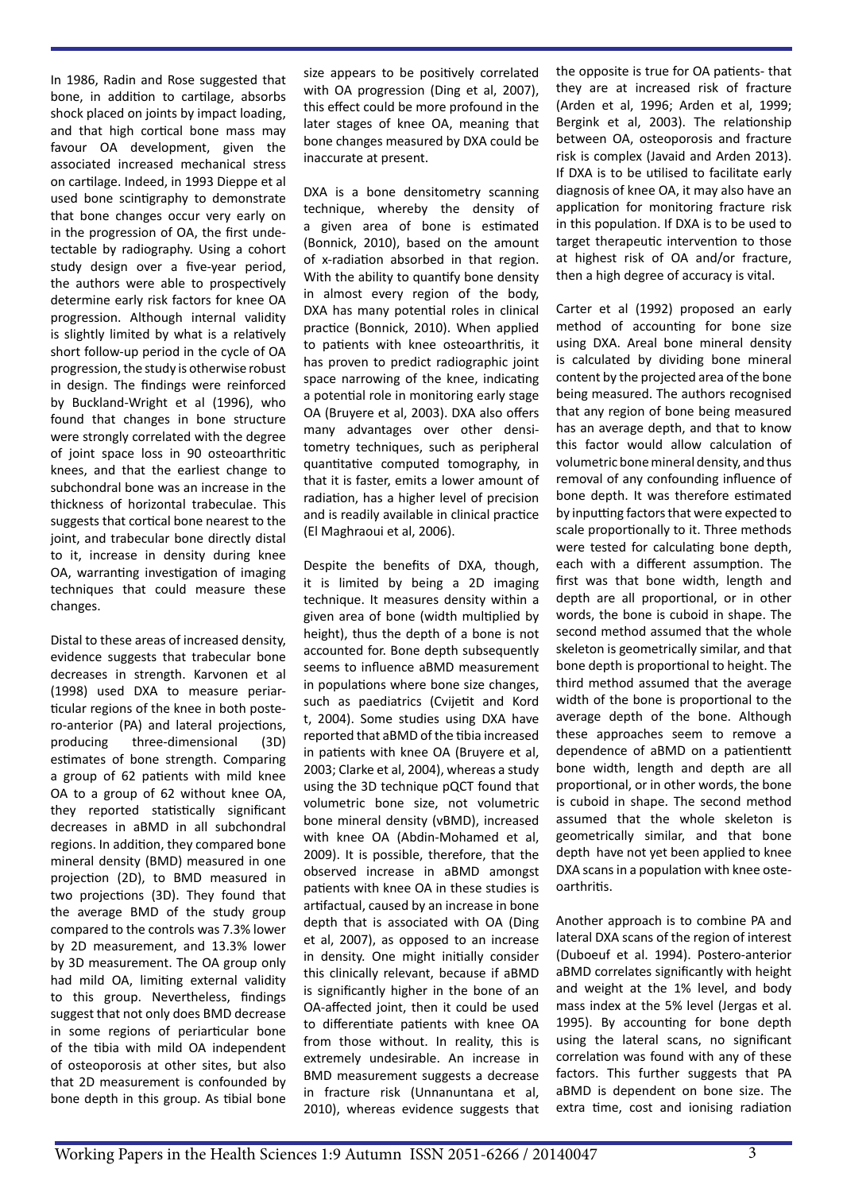In 1986, Radin and Rose suggested that bone, in addition to cartilage, absorbs shock placed on joints by impact loading, and that high cortical bone mass may favour OA development, given the associated increased mechanical stress on cartilage. Indeed, in 1993 Dieppe et al used bone scintigraphy to demonstrate that bone changes occur very early on in the progression of OA, the first undetectable by radiography. Using a cohort study design over a five-year period, the authors were able to prospectively determine early risk factors for knee OA progression. Although internal validity is slightly limited by what is a relatively short follow-up period in the cycle of OA progression, the study is otherwise robust in design. The findings were reinforced by Buckland-Wright et al (1996), who found that changes in bone structure were strongly correlated with the degree of joint space loss in 90 osteoarthritic knees, and that the earliest change to subchondral bone was an increase in the thickness of horizontal trabeculae. This suggests that cortical bone nearest to the joint, and trabecular bone directly distal to it, increase in density during knee OA, warranting investigation of imaging techniques that could measure these changes.

Distal to these areas of increased density, evidence suggests that trabecular bone decreases in strength. Karvonen et al (1998) used DXA to measure periarticular regions of the knee in both postero-anterior (PA) and lateral projections, producing three-dimensional (3D) estimates of bone strength. Comparing a group of 62 patients with mild knee OA to a group of 62 without knee OA, they reported statistically significant decreases in aBMD in all subchondral regions. In addition, they compared bone mineral density (BMD) measured in one projection (2D), to BMD measured in two projections (3D). They found that the average BMD of the study group compared to the controls was 7.3% lower by 2D measurement, and 13.3% lower by 3D measurement. The OA group only had mild OA, limiting external validity to this group. Nevertheless, findings suggest that not only does BMD decrease in some regions of periarticular bone of the tibia with mild OA independent of osteoporosis at other sites, but also that 2D measurement is confounded by bone depth in this group. As tibial bone

size appears to be positively correlated with OA progression (Ding et al, 2007), this effect could be more profound in the later stages of knee OA, meaning that bone changes measured by DXA could be inaccurate at present.

DXA is a bone densitometry scanning technique, whereby the density of a given area of bone is estimated (Bonnick, 2010), based on the amount of x-radiation absorbed in that region. With the ability to quantify bone density in almost every region of the body, DXA has many potential roles in clinical practice (Bonnick, 2010). When applied to patients with knee osteoarthritis, it has proven to predict radiographic joint space narrowing of the knee, indicating a potential role in monitoring early stage OA (Bruyere et al, 2003). DXA also offers many advantages over other densitometry techniques, such as peripheral quantitative computed tomography, in that it is faster, emits a lower amount of radiation, has a higher level of precision and is readily available in clinical practice (El Maghraoui et al, 2006).

Despite the benefits of DXA, though, it is limited by being a 2D imaging technique. It measures density within a given area of bone (width multiplied by height), thus the depth of a bone is not accounted for. Bone depth subsequently seems to influence aBMD measurement in populations where bone size changes, such as paediatrics (Cvijetit and Kord t, 2004). Some studies using DXA have reported that aBMD of the tibia increased in patients with knee OA (Bruyere et al, 2003; Clarke et al, 2004), whereas a study using the 3D technique pQCT found that volumetric bone size, not volumetric bone mineral density (vBMD), increased with knee OA (Abdin-Mohamed et al, 2009). It is possible, therefore, that the observed increase in aBMD amongst patients with knee OA in these studies is artifactual, caused by an increase in bone depth that is associated with OA (Ding et al, 2007), as opposed to an increase in density. One might initially consider this clinically relevant, because if aBMD is significantly higher in the bone of an OA-affected joint, then it could be used to differentiate patients with knee OA from those without. In reality, this is extremely undesirable. An increase in BMD measurement suggests a decrease in fracture risk (Unnanuntana et al, 2010), whereas evidence suggests that the opposite is true for OA patients- that they are at increased risk of fracture (Arden et al, 1996; Arden et al, 1999; Bergink et al, 2003). The relationship between OA, osteoporosis and fracture risk is complex (Javaid and Arden 2013). If DXA is to be utilised to facilitate early diagnosis of knee OA, it may also have an application for monitoring fracture risk in this population. If DXA is to be used to target therapeutic intervention to those at highest risk of OA and/or fracture, then a high degree of accuracy is vital.

Carter et al (1992) proposed an early method of accounting for bone size using DXA. Areal bone mineral density is calculated by dividing bone mineral content by the projected area of the bone being measured. The authors recognised that any region of bone being measured has an average depth, and that to know this factor would allow calculation of volumetric bone mineral density, and thus removal of any confounding influence of bone depth. It was therefore estimated by inputting factors that were expected to scale proportionally to it. Three methods were tested for calculating bone depth, each with a different assumption. The first was that bone width, length and depth are all proportional, or in other words, the bone is cuboid in shape. The second method assumed that the whole skeleton is geometrically similar, and that bone depth is proportional to height. The third method assumed that the average width of the bone is proportional to the average depth of the bone. Although these approaches seem to remove a dependence of aBMD on a patientientt bone width, length and depth are all proportional, or in other words, the bone is cuboid in shape. The second method assumed that the whole skeleton is geometrically similar, and that bone depth have not yet been applied to knee DXA scans in a population with knee osteoarthritis.

Another approach is to combine PA and lateral DXA scans of the region of interest (Duboeuf et al. 1994). Postero-anterior aBMD correlates significantly with height and weight at the 1% level, and body mass index at the 5% level (Jergas et al. 1995). By accounting for bone depth using the lateral scans, no significant correlation was found with any of these factors. This further suggests that PA aBMD is dependent on bone size. The extra time, cost and ionising radiation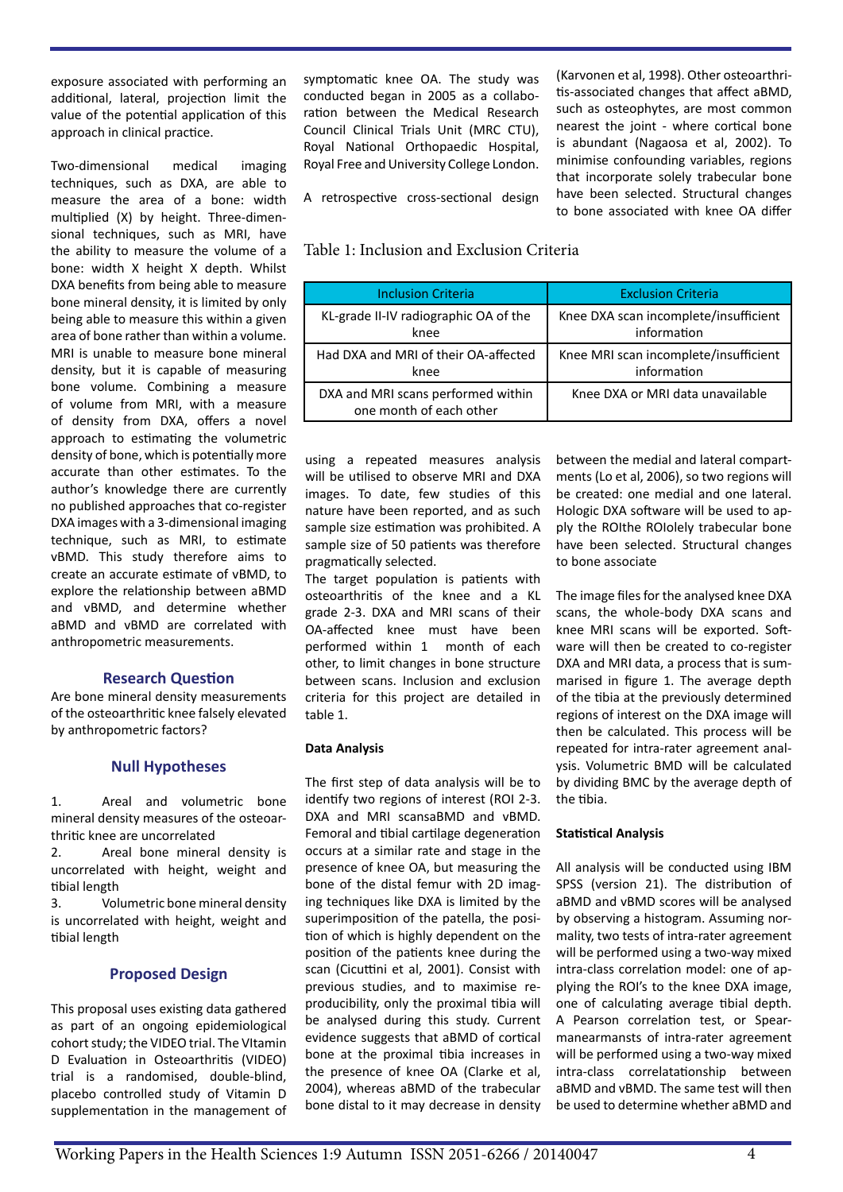exposure associated with performing an additional, lateral, projection limit the value of the potential application of this approach in clinical practice.

Two-dimensional medical imaging techniques, such as DXA, are able to measure the area of a bone: width multiplied (X) by height. Three-dimensional techniques, such as MRI, have the ability to measure the volume of a bone: width X height X depth. Whilst DXA benefits from being able to measure bone mineral density, it is limited by only being able to measure this within a given area of bone rather than within a volume. MRI is unable to measure bone mineral density, but it is capable of measuring bone volume. Combining a measure of volume from MRI, with a measure of density from DXA, offers a novel approach to estimating the volumetric density of bone, which is potentially more accurate than other estimates. To the author's knowledge there are currently no published approaches that co-register DXA images with a 3-dimensional imaging technique, such as MRI, to estimate vBMD. This study therefore aims to create an accurate estimate of vBMD, to explore the relationship between aBMD and vBMD, and determine whether aBMD and vBMD are correlated with anthropometric measurements.

#### **Research Question**

Are bone mineral density measurements of the osteoarthritic knee falsely elevated by anthropometric factors?

#### **Null Hypotheses**

1. Areal and volumetric bone mineral density measures of the osteoarthritic knee are uncorrelated

2. Areal bone mineral density is uncorrelated with height, weight and tibial length

3. Volumetric bone mineral density is uncorrelated with height, weight and tibial length

#### **Proposed Design**

This proposal uses existing data gathered as part of an ongoing epidemiological cohort study; the VIDEO trial. The VItamin D Evaluation in Osteoarthritis (VIDEO) trial is a randomised, double-blind, placebo controlled study of Vitamin D supplementation in the management of symptomatic knee OA. The study was conducted began in 2005 as a collaboration between the Medical Research Council Clinical Trials Unit (MRC CTU), Royal National Orthopaedic Hospital, Royal Free and University College London.

A retrospective cross-sectional design that incorporate solely trabecular bone have been selected. Structural changes

Table 1: Inclusion and Exclusion Criteria

| <b>Inclusion Criteria</b>                                     | <b>Exclusion Criteria</b>                            |
|---------------------------------------------------------------|------------------------------------------------------|
| KL-grade II-IV radiographic OA of the<br>knee                 | Knee DXA scan incomplete/insufficient<br>information |
| Had DXA and MRI of their OA-affected<br>knee                  | Knee MRI scan incomplete/insufficient<br>information |
| DXA and MRI scans performed within<br>one month of each other | Knee DXA or MRI data unavailable                     |

using a repeated measures analysis will be utilised to observe MRI and DXA images. To date, few studies of this nature have been reported, and as such sample size estimation was prohibited. A sample size of 50 patients was therefore pragmatically selected.

The target population is patients with osteoarthritis of the knee and a KL grade 2-3. DXA and MRI scans of their OA-affected knee must have been performed within 1 month of each other, to limit changes in bone structure between scans. Inclusion and exclusion criteria for this project are detailed in table 1.

#### **Data Analysis**

The first step of data analysis will be to identify two regions of interest (ROI 2-3. DXA and MRI scansaBMD and vBMD. Femoral and tibial cartilage degeneration occurs at a similar rate and stage in the presence of knee OA, but measuring the bone of the distal femur with 2D imaging techniques like DXA is limited by the superimposition of the patella, the position of which is highly dependent on the position of the patients knee during the scan (Cicuttini et al, 2001). Consist with previous studies, and to maximise reproducibility, only the proximal tibia will be analysed during this study. Current evidence suggests that aBMD of cortical bone at the proximal tibia increases in the presence of knee OA (Clarke et al, 2004), whereas aBMD of the trabecular bone distal to it may decrease in density between the medial and lateral compartments (Lo et al, 2006), so two regions will be created: one medial and one lateral. Hologic DXA software will be used to apply the ROIthe ROIolely trabecular bone have been selected. Structural changes to bone associate

(Karvonen et al, 1998). Other osteoarthritis-associated changes that affect aBMD, such as osteophytes, are most common nearest the joint - where cortical bone is abundant (Nagaosa et al, 2002). To minimise confounding variables, regions

to bone associated with knee OA differ

The image files for the analysed knee DXA scans, the whole-body DXA scans and knee MRI scans will be exported. Software will then be created to co-register DXA and MRI data, a process that is summarised in figure 1. The average depth of the tibia at the previously determined regions of interest on the DXA image will then be calculated. This process will be repeated for intra-rater agreement analysis. Volumetric BMD will be calculated by dividing BMC by the average depth of the tibia.

#### **Statistical Analysis**

All analysis will be conducted using IBM SPSS (version 21). The distribution of aBMD and vBMD scores will be analysed by observing a histogram. Assuming normality, two tests of intra-rater agreement will be performed using a two-way mixed intra-class correlation model: one of applying the ROI's to the knee DXA image, one of calculating average tibial depth. A Pearson correlation test, or Spearmanearmansts of intra-rater agreement will be performed using a two-way mixed intra-class correlatationship between aBMD and vBMD. The same test will then be used to determine whether aBMD and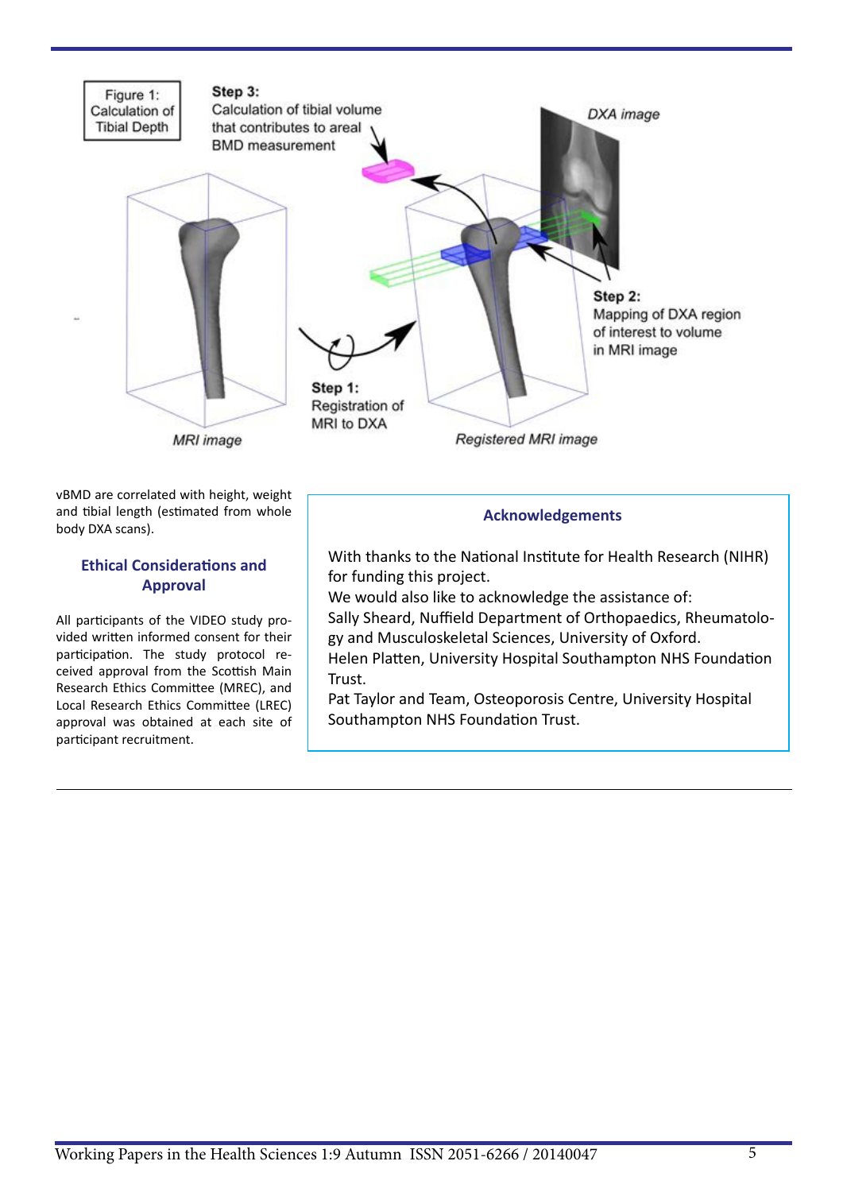

vBMD are correlated with height, weight and tibial length (estimated from whole body DXA scans).

### **Ethical Considerations and Approval**

All participants of the VIDEO study provided written informed consent for their participation. The study protocol received approval from the Scottish Main Research Ethics Committee (MREC), and Local Research Ethics Committee (LREC) approval was obtained at each site of participant recruitment.

## **Acknowledgements**

With thanks to the National Institute for Health Research (NIHR) for funding this project.

We would also like to acknowledge the assistance of: Sally Sheard, Nuffield Department of Orthopaedics, Rheumatology and Musculoskeletal Sciences, University of Oxford. Helen Platten, University Hospital Southampton NHS Foundation

Trust.

Pat Taylor and Team, Osteoporosis Centre, University Hospital Southampton NHS Foundation Trust.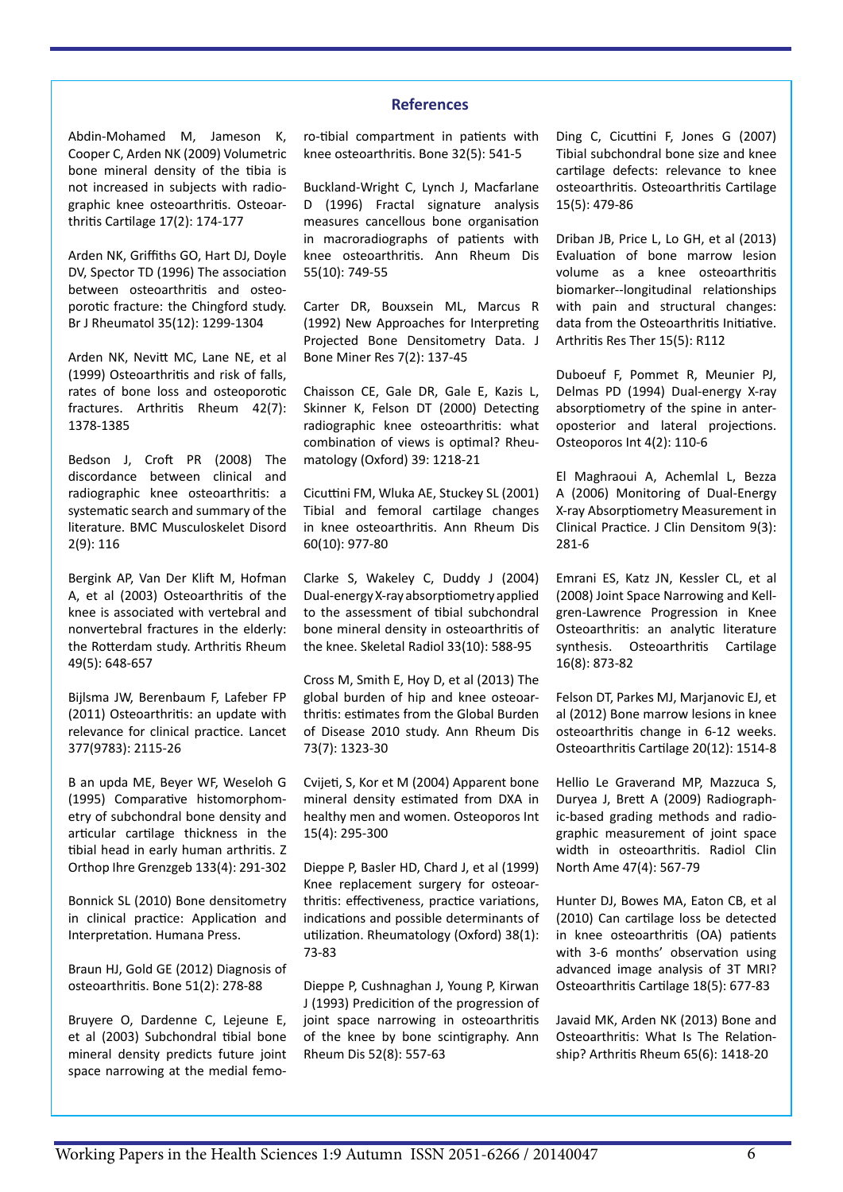#### **References**

Abdin-Mohamed M, Jameson K, Cooper C, Arden NK (2009) Volumetric bone mineral density of the tibia is not increased in subjects with radiographic knee osteoarthritis. Osteoarthritis Cartilage 17(2): 174-177

Arden NK, Griffiths GO, Hart DJ, Doyle DV, Spector TD (1996) The association between osteoarthritis and osteoporotic fracture: the Chingford study. Br J Rheumatol 35(12): 1299-1304

Arden NK, Nevitt MC, Lane NE, et al (1999) Osteoarthritis and risk of falls, rates of bone loss and osteoporotic fractures. Arthritis Rheum 42(7): 1378-1385

Bedson J, Croft PR (2008) The discordance between clinical and radiographic knee osteoarthritis: a systematic search and summary of the literature. BMC Musculoskelet Disord 2(9): 116

Bergink AP, Van Der Klift M, Hofman A, et al (2003) Osteoarthritis of the knee is associated with vertebral and nonvertebral fractures in the elderly: the Rotterdam study. Arthritis Rheum 49(5): 648-657

Bijlsma JW, Berenbaum F, Lafeber FP (2011) Osteoarthritis: an update with relevance for clinical practice. Lancet 377(9783): 2115-26

B an upda ME, Beyer WF, Weseloh G (1995) Comparative histomorphometry of subchondral bone density and articular cartilage thickness in the tibial head in early human arthritis. Z Orthop Ihre Grenzgeb 133(4): 291-302

Bonnick SL (2010) Bone densitometry in clinical practice: Application and Interpretation. Humana Press.

Braun HJ, Gold GE (2012) Diagnosis of osteoarthritis. Bone 51(2): 278-88

Bruyere O, Dardenne C, Lejeune E, et al (2003) Subchondral tibial bone mineral density predicts future joint space narrowing at the medial femoro-tibial compartment in patients with knee osteoarthritis. Bone 32(5): 541-5

Buckland-Wright C, Lynch J, Macfarlane D (1996) Fractal signature analysis measures cancellous bone organisation in macroradiographs of patients with knee osteoarthritis. Ann Rheum Dis 55(10): 749-55

Carter DR, Bouxsein ML, Marcus R (1992) New Approaches for Interpreting Projected Bone Densitometry Data. J Bone Miner Res 7(2): 137-45

Chaisson CE, Gale DR, Gale E, Kazis L, Skinner K, Felson DT (2000) Detecting radiographic knee osteoarthritis: what combination of views is optimal? Rheumatology (Oxford) 39: 1218-21

Cicuttini FM, Wluka AE, Stuckey SL (2001) Tibial and femoral cartilage changes in knee osteoarthritis. Ann Rheum Dis 60(10): 977-80

Clarke S, Wakeley C, Duddy J (2004) Dual-energy X-ray absorptiometry applied to the assessment of tibial subchondral bone mineral density in osteoarthritis of the knee. Skeletal Radiol 33(10): 588-95

Cross M, Smith E, Hoy D, et al (2013) The global burden of hip and knee osteoarthritis: estimates from the Global Burden of Disease 2010 study. Ann Rheum Dis 73(7): 1323-30

Cvijeti, S, Kor et M (2004) Apparent bone mineral density estimated from DXA in healthy men and women. Osteoporos Int 15(4): 295-300

Dieppe P, Basler HD, Chard J, et al (1999) Knee replacement surgery for osteoarthritis: effectiveness, practice variations, indications and possible determinants of utilization. Rheumatology (Oxford) 38(1): 73-83

Dieppe P, Cushnaghan J, Young P, Kirwan J (1993) Predicition of the progression of joint space narrowing in osteoarthritis of the knee by bone scintigraphy. Ann Rheum Dis 52(8): 557-63

Ding C, Cicuttini F, Jones G (2007) Tibial subchondral bone size and knee cartilage defects: relevance to knee osteoarthritis. Osteoarthritis Cartilage 15(5): 479-86

Driban JB, Price L, Lo GH, et al (2013) Evaluation of bone marrow lesion volume as a knee osteoarthritis biomarker--longitudinal relationships with pain and structural changes: data from the Osteoarthritis Initiative. Arthritis Res Ther 15(5): R112

Duboeuf F, Pommet R, Meunier PJ, Delmas PD (1994) Dual-energy X-ray absorptiometry of the spine in anteroposterior and lateral projections. Osteoporos Int 4(2): 110-6

El Maghraoui A, Achemlal L, Bezza A (2006) Monitoring of Dual-Energy X-ray Absorptiometry Measurement in Clinical Practice. J Clin Densitom 9(3): 281-6

Emrani ES, Katz JN, Kessler CL, et al (2008) Joint Space Narrowing and Kellgren-Lawrence Progression in Knee Osteoarthritis: an analytic literature synthesis. Osteoarthritis Cartilage 16(8): 873-82

Felson DT, Parkes MJ, Marjanovic EJ, et al (2012) Bone marrow lesions in knee osteoarthritis change in 6-12 weeks. Osteoarthritis Cartilage 20(12): 1514-8

Hellio Le Graverand MP, Mazzuca S, Duryea J, Brett A (2009) Radiographic-based grading methods and radiographic measurement of joint space width in osteoarthritis. Radiol Clin North Ame 47(4): 567-79

Hunter DJ, Bowes MA, Eaton CB, et al (2010) Can cartilage loss be detected in knee osteoarthritis (OA) patients with 3-6 months' observation using advanced image analysis of 3T MRI? Osteoarthritis Cartilage 18(5): 677-83

Javaid MK, Arden NK (2013) Bone and Osteoarthritis: What Is The Relationship? Arthritis Rheum 65(6): 1418-20